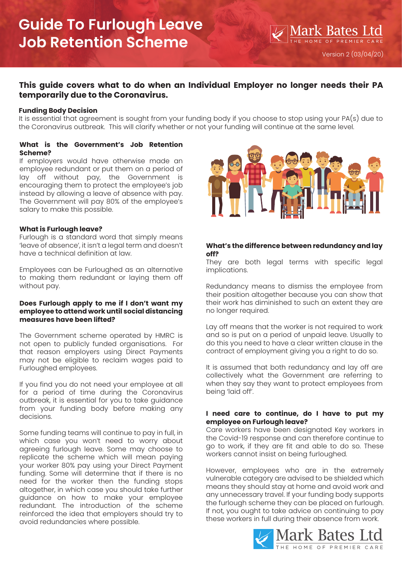## **This guide covers what to do when an Individual Employer no longer needs their PA temporarily due to the Coronavirus.**

## **Funding Body Decision**

It is essential that agreement is sought from your funding body if you choose to stop using your PA(s) due to the Coronavirus outbreak. This will clarify whether or not your funding will continue at the same level.

## **What is the Government's Job Retention Scheme?**

If employers would have otherwise made an employee redundant or put them on a period of lay off without pay, the Government is encouraging them to protect the employee's job instead by allowing a leave of absence with pay. The Government will pay 80% of the employee's salary to make this possible.

## **What is Furlough leave?**

Furlough is a standard word that simply means 'leave of absence', it isn't a legal term and doesn't have a technical definition at law.

Employees can be Furloughed as an alternative to making them redundant or laying them off without pay.

#### **Does Furlough apply to me if I don't want my employee to attend work until social distancing measures have been lifted?**

The Government scheme operated by HMRC is not open to publicly funded organisations. For that reason employers using Direct Payments may not be eligible to reclaim wages paid to Furloughed employees.

If you find you do not need your employee at all for a period of time during the Coronavirus outbreak, it is essential for you to take guidance from your funding body before making any decisions.

Some funding teams will continue to pay in full, in which case you won't need to worry about agreeing furlough leave. Some may choose to replicate the scheme which will mean paying your worker 80% pay using your Direct Payment funding. Some will determine that if there is no need for the worker then the funding stops altogether, in which case you should take further guidance on how to make your employee redundant. The introduction of the scheme reinforced the idea that employers should try to avoid redundancies where possible.



## **What's the difference between redundancy and lay off?**

They are both legal terms with specific legal implications.

Redundancy means to dismiss the employee from their position altogether because you can show that their work has diminished to such an extent they are no longer required.

Lay off means that the worker is not required to work and so is put on a period of unpaid leave. Usually to do this you need to have a clear written clause in the contract of employment giving you a right to do so.

It is assumed that both redundancy and lay off are collectively what the Government are referring to when they say they want to protect employees from being 'laid off'.

## **I need care to continue, do I have to put my employee on Furlough leave?**

Care workers have been designated Key workers in the Covid-19 response and can therefore continue to go to work, if they are fit and able to do so. These workers cannot insist on being furloughed.

However, employees who are in the extremely vulnerable category are advised to be shielded which means they should stay at home and avoid work and any unnecessary travel. If your funding body supports the furlough scheme they can be placed on furlough. If not, you ought to take advice on continuing to pay these workers in full during their absence from work.

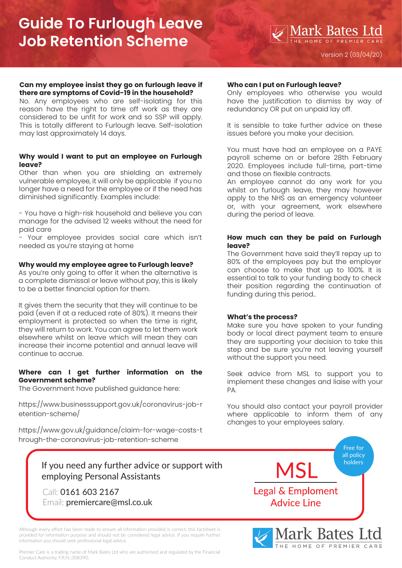# **Guide To Furlough Leave Job Retention Scheme**

#### **Can my employee insist they go on furlough leave if there are symptoms of Covid-19 in the household?**

No. Any employees who are self-isolating for this reason have the right to time off work as they are considered to be unfit for work and so SSP will apply. This is totally different to Furlough leave. Self-isolation may last approximately 14 days.

## **Why would I want to put an employee on Furlough leave?**

Other than when you are shielding an extremely vulnerable employee, it will only be applicable if you no longer have a need for the employee or if the need has diminished significantly. Examples include:

- You have a high-risk household and believe you can manage for the advised 12 weeks without the need for paid care

- Your employee provides social care which isn't needed as you're staying at home

## **Why would my employee agree to Furlough leave?**

As you're only going to offer it when the alternative is a complete dismissal or leave without pay, this is likely to be a better financial option for them.

It gives them the security that they will continue to be paid (even if at a reduced rate of 80%). It means their employment is protected so when the time is right, they will return to work. You can agree to let them work elsewhere whilst on leave which will mean they can increase their income potential and annual leave will continue to accrue.

## **Where can I get further information on the Government scheme?**

The Government have published guidance here:

[https://www.businesssupport.gov.uk/coronavirus-job-r](https://www.businesssupport.gov.uk/coronavirus-job-retention-scheme/) etention-scheme/

[https://www.gov.uk/guidance/claim-for-wage-costs-t](https://www.gov.uk/guidance/claim-for-wage-costs-through-the-coronavirus-job-retention-scheme)

## **Who can I put on Furlough leave?**

Only employees who otherwise you would have the justification to dismiss by way of redundancy OR put on unpaid lay off.

It is sensible to take further advice on these issues before you make your decision.

You must have had an employee on a PAYE payroll scheme on or before 28th February 2020. Employees include full-time, part-time and those on flexible contracts.

An employee cannot do any work for you whilst on furlough leave, they may however apply to the NHS as an emergency volunteer or, with your agreement, work elsewhere during the period of leave.

## **How much can they be paid on Furlough leave?**

The Government have said they'll repay up to 80% of the employees pay but the employer can choose to make that up to 100%. It is essential to talk to your funding body to check their position regarding the continuation of funding during this period..

## **What's the process?**

Make sure you have spoken to your funding body or local direct payment team to ensure they are supporting your decision to take this step and be sure you're not leaving yourself without the support you need.

Seek advice from MSL to support you to implement these changes and liaise with your PA.

You should also contact your payroll provider where applicable to inform them of any changes to your employees salary.